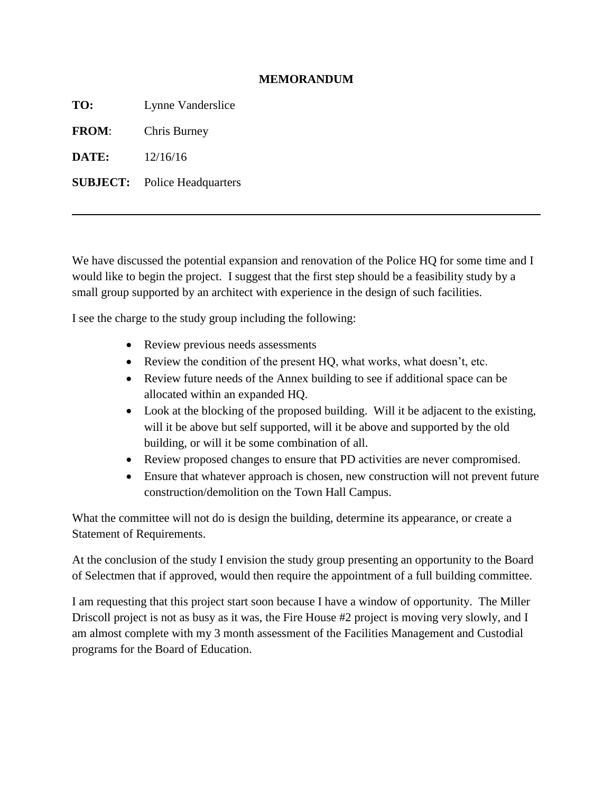## **MEMORANDUM**

**TO:** Lynne Vanderslice

**FROM**: Chris Burney

**DATE:** 12/16/16

**SUBJECT:** Police Headquarters

We have discussed the potential expansion and renovation of the Police HQ for some time and I would like to begin the project. I suggest that the first step should be a feasibility study by a small group supported by an architect with experience in the design of such facilities.

I see the charge to the study group including the following:

- Review previous needs assessments
- Review the condition of the present HQ, what works, what doesn't, etc.
- Review future needs of the Annex building to see if additional space can be allocated within an expanded HQ.
- Look at the blocking of the proposed building. Will it be adjacent to the existing, will it be above but self supported, will it be above and supported by the old building, or will it be some combination of all.
- Review proposed changes to ensure that PD activities are never compromised.
- Ensure that whatever approach is chosen, new construction will not prevent future construction/demolition on the Town Hall Campus.

What the committee will not do is design the building, determine its appearance, or create a Statement of Requirements.

At the conclusion of the study I envision the study group presenting an opportunity to the Board of Selectmen that if approved, would then require the appointment of a full building committee.

I am requesting that this project start soon because I have a window of opportunity. The Miller Driscoll project is not as busy as it was, the Fire House #2 project is moving very slowly, and I am almost complete with my 3 month assessment of the Facilities Management and Custodial programs for the Board of Education.